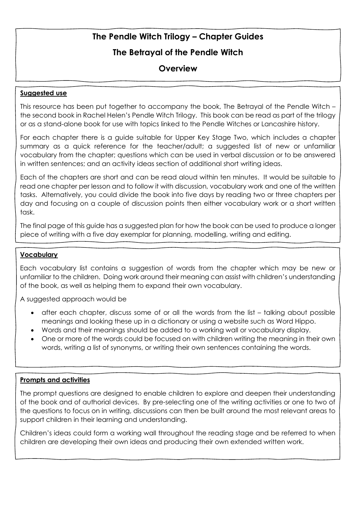## **The Betrayal of the Pendle Witch**

## **Overview**

### **Suggested use**

This resource has been put together to accompany the book, The Betrayal of the Pendle Witch – the second book in Rachel Helen's Pendle Witch Trilogy. This book can be read as part of the trilogy or as a stand-alone book for use with topics linked to the Pendle Witches or Lancashire history.

For each chapter there is a guide suitable for Upper Key Stage Two, which includes a chapter summary as a quick reference for the teacher/adult; a suggested list of new or unfamiliar vocabulary from the chapter; questions which can be used in verbal discussion or to be answered in written sentences; and an activity ideas section of additional short writing ideas.

Each of the chapters are short and can be read aloud within ten minutes. It would be suitable to read one chapter per lesson and to follow it with discussion, vocabulary work and one of the written tasks. Alternatively, you could divide the book into five days by reading two or three chapters per day and focusing on a couple of discussion points then either vocabulary work or a short written task.

The final page of this guide has a suggested plan for how the book can be used to produce a longer piece of writing with a five day exemplar for planning, modelling, writing and editing.

### **Vocabulary**

Each vocabulary list contains a suggestion of words from the chapter which may be new or unfamiliar to the children. Doing work around their meaning can assist with children's understanding of the book, as well as helping them to expand their own vocabulary.

A suggested approach would be

- after each chapter, discuss some of or all the words from the list talking about possible meanings and looking these up in a dictionary or using a website such as Word Hippo.
- Words and their meanings should be added to a working wall or vocabulary display.
- One or more of the words could be focused on with children writing the meaning in their own words, writing a list of synonyms, or writing their own sentences containing the words.

### **Prompts and activities**

The prompt questions are designed to enable children to explore and deepen their understanding of the book and of authorial devices. By pre-selecting one of the writing activities or one to two of the questions to focus on in writing, discussions can then be built around the most relevant areas to support children in their learning and understanding.

Children's ideas could form a working wall throughout the reading stage and be referred to when children are developing their own ideas and producing their own extended written work.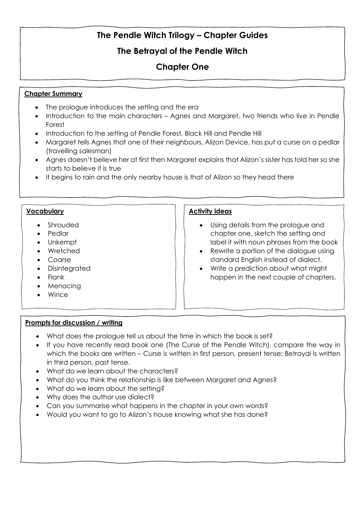## **The Betrayal of the Pendle Witch**

# **Chapter One**

### **Chapter Summary**

- The prologue introduces the setting and the era
- Introduction to the main characters Agnes and Margaret, two friends who live in Pendle Forest
- Introduction to the setting of Pendle Forest, Black Hill and Pendle Hill
- Margaret tells Agnes that one of their neighbours, Alizon Device, has put a curse on a pedlar (travelling salesman)
- Agnes doesn't believe her at first then Margaret explains that Alizon's sister has told her so she starts to believe it is true
- It begins to rain and the only nearby house is that of Alizon so they head there

### **Vocabulary**

- Shrouded
- Pedlar
- Unkempt
- Wretched
- Coarse
- Disintegrated
- Flank
- Menacing
- Wince

### **Activity ideas**

- Using details from the prologue and chapter one, sketch the setting and label it with noun phrases from the book
- Rewrite a portion of the dialogue using standard English instead of dialect.
- Write a prediction about what might happen in the next couple of chapters.

- What does the prologue tell us about the time in which the book is set?
- If you have recently read book one (The Curse of the Pendle Witch), compare the way in which the books are written – Curse is written in first person, present tense; Betrayal is written in third person, past tense.
- What do we learn about the characters?
- What do you think the relationship is like between Margaret and Agnes?
- What do we learn about the setting?
- Why does the author use dialect?
- Can you summarise what happens in the chapter in your own words?
- Would you want to go to Alizon's house knowing what she has done?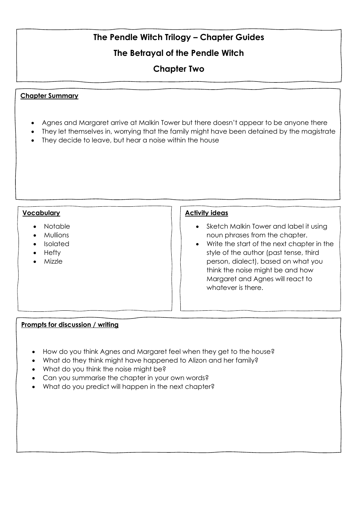## **The Betrayal of the Pendle Witch**

## **Chapter Two**

### **Chapter Summary**

- Agnes and Margaret arrive at Malkin Tower but there doesn't appear to be anyone there
- They let themselves in, worrying that the family might have been detained by the magistrate
- They decide to leave, but hear a noise within the house

### **Vocabulary**

- Notable
- Mullions
- Isolated
- Hefty
- Mizzle

#### **Activity ideas**

- Sketch Malkin Tower and label it using noun phrases from the chapter.
- Write the start of the next chapter in the style of the author (past tense, third person, dialect), based on what you think the noise might be and how Margaret and Agnes will react to whatever is there.

- How do you think Agnes and Margaret feel when they get to the house?
- What do they think might have happened to Alizon and her family?
- What do you think the noise might be?
- Can you summarise the chapter in your own words?
- What do you predict will happen in the next chapter?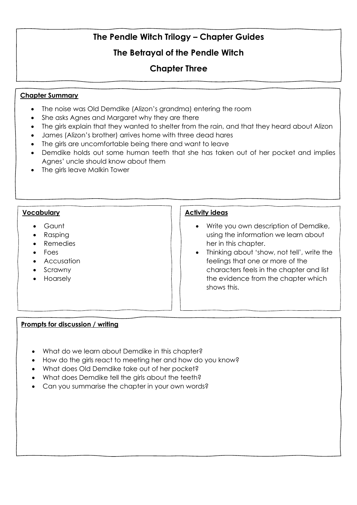## **The Betrayal of the Pendle Witch**

## **Chapter Three**

#### **Chapter Summary**

- The noise was Old Demdike (Alizon's grandma) entering the room
- She asks Agnes and Margaret why they are there
- The girls explain that they wanted to shelter from the rain, and that they heard about Alizon
- James (Alizon's brother) arrives home with three dead hares
- The girls are uncomfortable being there and want to leave
- Demdike holds out some human teeth that she has taken out of her pocket and implies Agnes' uncle should know about them
- The girls leave Malkin Tower

#### **Vocabulary**

- Gaunt
- Rasping
- Remedies
- Foes
- Accusation
- Scrawny
- Hoarsely

#### **Activity ideas**

- Write you own description of Demdike, using the information we learn about her in this chapter.
- Thinking about 'show, not tell', write the feelings that one or more of the characters feels in the chapter and list the evidence from the chapter which shows this.

- What do we learn about Demdike in this chapter?
- How do the girls react to meeting her and how do you know?
- What does Old Demdike take out of her pocket?
- What does Demdike tell the girls about the teeth?
- Can you summarise the chapter in your own words?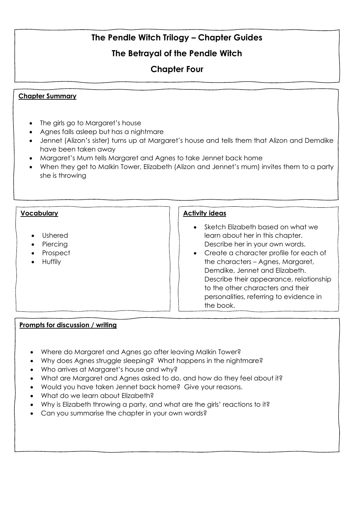# **The Betrayal of the Pendle Witch**

# **Chapter Four**

### **Chapter Summary**

- The girls go to Margaret's house
- Agnes falls asleep but has a nightmare
- Jennet (Alizon's sister) turns up at Margaret's house and tells them that Alizon and Demdike have been taken away
- Margaret's Mum tells Margaret and Agnes to take Jennet back home
- When they get to Malkin Tower, Elizabeth (Alizon and Jennet's mum) invites them to a party she is throwing

#### **Vocabulary**

- Ushered
- Piercing
- Prospect
- Huffily

#### **Activity ideas**

- Sketch Elizabeth based on what we learn about her in this chapter. Describe her in your own words.
- Create a character profile for each of the characters – Agnes, Margaret, Demdike, Jennet and Elizabeth. Describe their appearance, relationship to the other characters and their personalities, referring to evidence in the book.

- Where do Margaret and Agnes go after leaving Malkin Tower?
- Why does Agnes struggle sleeping? What happens in the nightmare?
- Who arrives at Margaret's house and why?
- What are Margaret and Agnes asked to do, and how do they feel about it?
- Would you have taken Jennet back home? Give your reasons.
- What do we learn about Elizabeth?
- Why is Elizabeth throwing a party, and what are the girls' reactions to it?
- Can you summarise the chapter in your own words?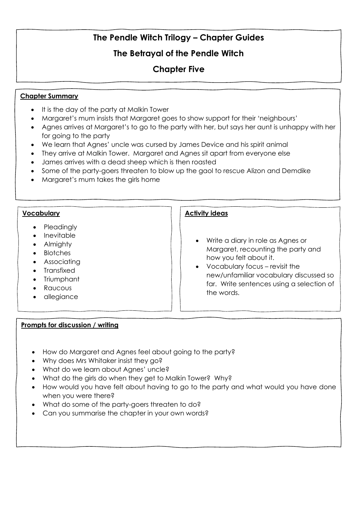## **The Betrayal of the Pendle Witch**

## **Chapter Five**

### **Chapter Summary**

- It is the day of the party at Malkin Tower
- Margaret's mum insists that Margaret goes to show support for their 'neighbours'
- Agnes arrives at Margaret's to go to the party with her, but says her aunt is unhappy with her for going to the party
- We learn that Agnes' uncle was cursed by James Device and his spirit animal
- They arrive at Malkin Tower. Margaret and Agnes sit apart from everyone else
- James arrives with a dead sheep which is then roasted
- Some of the party-goers threaten to blow up the gaol to rescue Alizon and Demdike
- Margaret's mum takes the girls home

### **Vocabulary**

- Pleadingly
- Inevitable
- Almighty
- Blotches
- Associating
- Transfixed
- Triumphant
- Raucous
- allegiance

### **Prompts for discussion / writing**

## **Activity ideas**

- Write a diary in role as Agnes or Margaret, recounting the party and how you felt about it.
- Vocabulary focus revisit the new/unfamiliar vocabulary discussed so far. Write sentences using a selection of the words.
- How do Margaret and Agnes feel about going to the party?
- Why does Mrs Whitaker insist they go?
- What do we learn about Agnes' uncle?
- What do the girls do when they get to Malkin Tower? Why?
- How would you have felt about having to go to the party and what would you have done when you were there?
- What do some of the party-goers threaten to do?
- Can you summarise the chapter in your own words?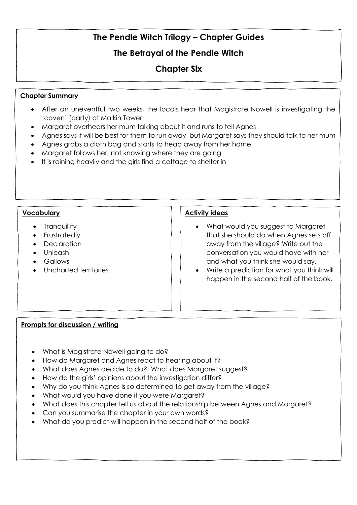## **The Betrayal of the Pendle Witch**

# **Chapter Six**

### **Chapter Summary**

- After an uneventful two weeks, the locals hear that Magistrate Nowell is investigating the 'coven' (party) at Malkin Tower
- Margaret overhears her mum talking about it and runs to tell Agnes
- Agnes says it will be best for them to run away, but Maragret says they should talk to her mum
- Agnes grabs a cloth bag and starts to head away from her home
- Margaret follows her, not knowing where they are going
- It is raining heavily and the girls find a cottage to shelter in

### **Vocabulary**

- Tranquillity
- Frustratedly
- Declaration
- Unleash
- Gallows
- Uncharted territories

### **Activity ideas**

- What would you suggest to Margaret that she should do when Agnes sets off away from the village? Write out the conversation you would have with her and what you think she would say.
- Write a prediction for what you think will happen in the second half of the book.

- What is Magistrate Nowell going to do?
- How do Margaret and Agnes react to hearing about it?
- What does Agnes decide to do? What does Margaret suggest?
- How do the girls' opinions about the investigation differ?
- Why do you think Agnes is so determined to get away from the village?
- What would you have done if you were Margaret?
- What does this chapter tell us about the relationship between Agnes and Margaret?
- Can you summarise the chapter in your own words?
- What do you predict will happen in the second half of the book?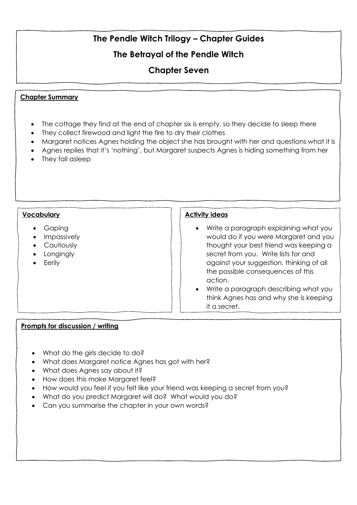# **The Betrayal of the Pendle Witch**

## **Chapter Seven**

### **Chapter Summary**

- The cottage they find at the end of chapter six is empty, so they decide to sleep there
- They collect firewood and light the fire to dry their clothes
- Margaret notices Agnes holding the object she has brought with her and questions what it is
- Agnes replies that it's 'nothing', but Margaret suspects Agnes is hiding something from her
- They fall asleep

### **Vocabulary**

- Gaping
- Impassively
- Cautiously
- Longingly
- Eerily

#### **Activity ideas**

- Write a paragraph explaining what you would do if you were Margaret and you thought your best friend was keeping a secret from you. Write lists for and against your suggestion, thinking of all the possible consequences of this action.
- Write a paragraph describing what you think Agnes has and why she is keeping it a secret.

- What do the airls decide to do?
- What does Margaret notice Agnes has got with her?
- What does Agnes say about it?
- How does this make Margaret feel?
- How would you feel if you felt like your friend was keeping a secret from you?
- What do you predict Margaret will do? What would you do?
- Can you summarise the chapter in your own words?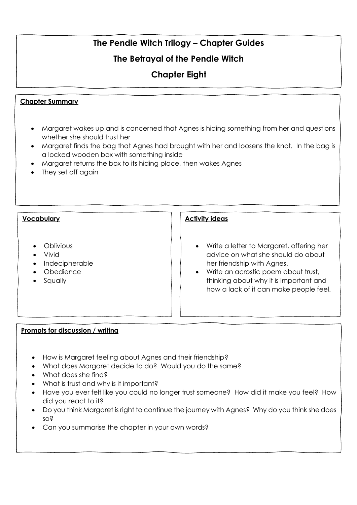# **The Betrayal of the Pendle Witch**

# **Chapter Eight**

## **Chapter Summary**

- Margaret wakes up and is concerned that Agnes is hiding something from her and questions whether she should trust her
- Margaret finds the bag that Agnes had brought with her and loosens the knot. In the bag is a locked wooden box with something inside
- Margaret returns the box to its hiding place, then wakes Agnes
- They set off again

### **Vocabulary**

- Oblivious
- Vivid
- Indecipherable
- Obedience
- Squally

### **Activity ideas**

- Write a letter to Margaret, offering her advice on what she should do about her friendship with Agnes.
- Write an acrostic poem about trust, thinking about why it is important and how a lack of it can make people feel.

- How is Margaret feeling about Agnes and their friendship?
- What does Margaret decide to do? Would you do the same?
- What does she find?
- What is trust and why is it important?
- Have you ever felt like you could no longer trust someone? How did it make you feel? How did you react to it?
- Do you think Margaret is right to continue the journey with Agnes? Why do you think she does so?
- Can you summarise the chapter in your own words?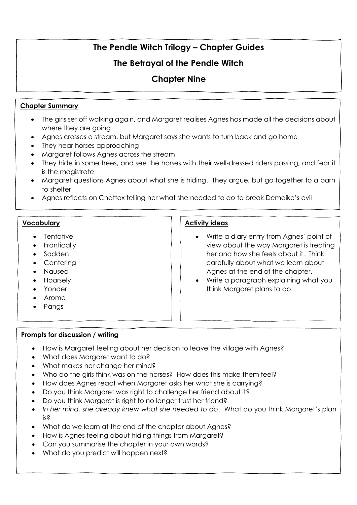## **The Betrayal of the Pendle Witch**

## **Chapter Nine**

### **Chapter Summary**

- The girls set off walking again, and Margaret realises Agnes has made all the decisions about where they are going
- Agnes crosses a stream, but Margaret says she wants to turn back and go home
- They hear horses approaching
- Margaret follows Agnes across the stream
- They hide in some trees, and see the horses with their well-dressed riders passing, and fear it is the magistrate
- Margaret questions Agnes about what she is hiding. They argue, but go together to a barn to shelter
- Agnes reflects on Chattox telling her what she needed to do to break Demdike's evil

### **Vocabulary**

- Tentative
- Frantically
- Sodden
- Cantering
- Nausea
- Hoarsely
- Yonder
- Aroma
- Pangs

## **Prompts for discussion / writing**

### • How is Margaret feeling about her decision to leave the village with Agnes?

- What does Margaret want to do?
- What makes her change her mind?
- Who do the girls think was on the horses? How does this make them feel?
- How does Agnes react when Margaret asks her what she is carrying?
- Do you think Margaret was right to challenge her friend about it?
- Do you think Margaret is right to no longer trust her friend?
- *In her mind, she already knew what she needed to do*. What do you think Margaret's plan is?
- What do we learn at the end of the chapter about Agnes?
- How is Agnes feeling about hiding things from Margaret?
- Can you summarise the chapter in your own words?
- What do you predict will happen next?

### **Activity ideas**

- Write a diary entry from Agnes' point of view about the way Margaret is treating her and how she feels about it. Think carefully about what we learn about Agnes at the end of the chapter.
- Write a paragraph explaining what you think Margaret plans to do.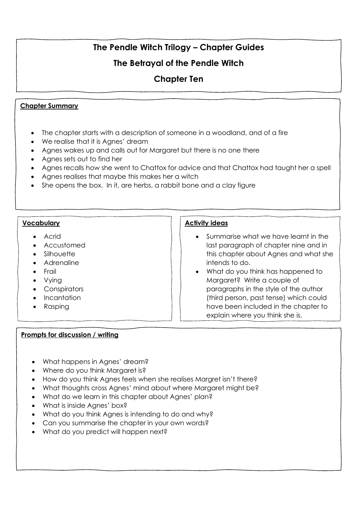## **The Betrayal of the Pendle Witch**

## **Chapter Ten**

### **Chapter Summary**

- The chapter starts with a description of someone in a woodland, and of a fire
- We realise that it is Agnes' dream
- Agnes wakes up and calls out for Margaret but there is no one there
- Agnes sets out to find her
- Agnes recalls how she went to Chattox for advice and that Chattox had taught her a spell
- Agnes realises that maybe this makes her a witch
- She opens the box. In it, are herbs, a rabbit bone and a clay figure

#### **Vocabulary**

- Acrid
- Accustomed
- Silhouette
- Adrenaline
- Frail
- Vying
- Conspirators
- Incantation
- Rasping

## **Activity ideas**

- Summarise what we have learnt in the last paragraph of chapter nine and in this chapter about Agnes and what she intends to do.
- What do you think has happened to Margaret? Write a couple of paragraphs in the style of the author (third person, past tense) which could have been included in the chapter to explain where you think she is.

- What happens in Agnes' dream?
- Where do you think Margaret is?
- How do you think Agnes feels when she realises Margret isn't there?
- What thoughts cross Agnes' mind about where Margaret might be?
- What do we learn in this chapter about Agnes' plan?
- What is inside Agnes' box?
- What do you think Agnes is intending to do and why?
- Can you summarise the chapter in your own words?
- What do you predict will happen next?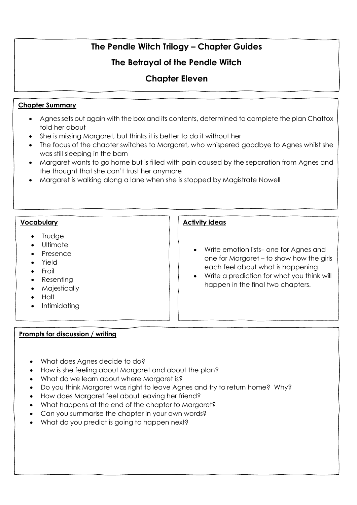# **The Betrayal of the Pendle Witch**

# **Chapter Eleven**

## **Chapter Summary**

- Agnes sets out again with the box and its contents, determined to complete the plan Chattox told her about
- She is missing Margaret, but thinks it is better to do it without her
- The focus of the chapter switches to Margaret, who whispered goodbye to Agnes whilst she was still sleeping in the barn
- Margaret wants to go home but is filled with pain caused by the separation from Agnes and the thought that she can't trust her anymore
- Margaret is walking along a lane when she is stopped by Magistrate Nowell

### **Vocabulary**

- **Trudge**
- Ultimate
- Presence
- Yield
- Frail
- Resenting
- Majestically
- Halt
- **Intimidating**

## **Prompts for discussion / writing**

## **Activity ideas**

- Write emotion lists– one for Agnes and one for Margaret – to show how the girls each feel about what is happening.
- Write a prediction for what you think will happen in the final two chapters.

- What does Agnes decide to do?
- How is she feeling about Margaret and about the plan?
- What do we learn about where Margaret is?
- Do you think Margaret was right to leave Agnes and try to return home? Why?
- How does Margaret feel about leaving her friend?
- What happens at the end of the chapter to Margaret?
- Can you summarise the chapter in your own words?
- What do you predict is going to happen next?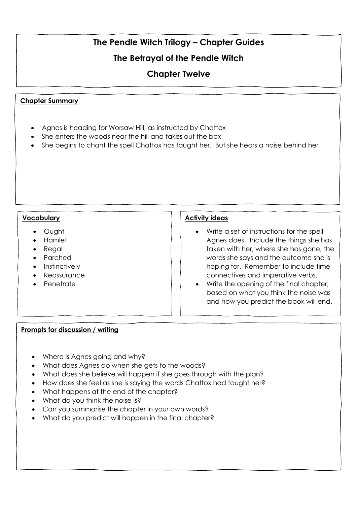## **The Betrayal of the Pendle Witch**

## **Chapter Twelve**

### **Chapter Summary**

- Agnes is heading for Worsaw Hill, as instructed by Chattox
- She enters the woods near the hill and takes out the box
- She begins to chant the spell Chattox has taught her. But she hears a noise behind her

#### **Vocabulary**

- Ought
- Hamlet
- Reaal
- Parched
- Instinctively
- Reassurance
- Penetrate

### **Activity ideas**

- Write a set of instructions for the spell Agnes does. Include the things she has taken with her, where she has gone, the words she says and the outcome she is hoping for. Remember to include time connectives and imperative verbs.
- Write the opening of the final chapter, based on what you think the noise was and how you predict the book will end.

- Where is Agnes going and why?
- What does Agnes do when she gets to the woods?
- What does she believe will happen if she goes through with the plan?
- How does she feel as she is saying the words Chattox had taught her?
- What happens at the end of the chapter?
- What do you think the noise is?
- Can you summarise the chapter in your own words?
- What do you predict will happen in the final chapter?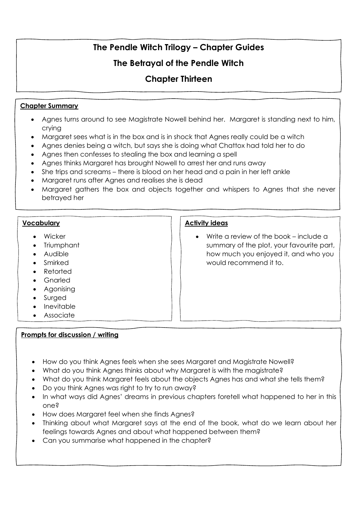## **The Betrayal of the Pendle Witch**

## **Chapter Thirteen**

### **Chapter Summary**

- Agnes turns around to see Magistrate Nowell behind her. Margaret is standing next to him, crying
- Margaret sees what is in the box and is in shock that Agnes really could be a witch
- Agnes denies being a witch, but says she is doing what Chattox had told her to do
- Agnes then confesses to stealing the box and learning a spell
- Agnes thinks Margaret has brought Nowell to arrest her and runs away
- She trips and screams there is blood on her head and a pain in her left ankle
- Margaret runs after Agnes and realises she is dead
- Margaret gathers the box and objects together and whispers to Agnes that she never betrayed her

### **Vocabulary**

- Wicker
- Triumphant
- Audible
- Smirked
- Retorted
- Gnarled
- Agonising
- Surged
- Inevitable
- Associate

### **Prompts for discussion / writing**

- How do you think Agnes feels when she sees Margaret and Magistrate Nowell?
- What do you think Agnes thinks about why Margaret is with the magistrate?
- What do you think Margaret feels about the objects Agnes has and what she tells them?
- Do you think Agnes was right to try to run away?
- In what ways did Agnes' dreams in previous chapters foretell what happened to her in this one?
- How does Margaret feel when she finds Agnes?
- Thinking about what Margaret says at the end of the book, what do we learn about her feelings towards Agnes and about what happened between them?
- Can you summarise what happened in the chapter?

## **Activity ideas**

• Write a review of the book – include a summary of the plot, your favourite part, how much you enjoyed it, and who you would recommend it to.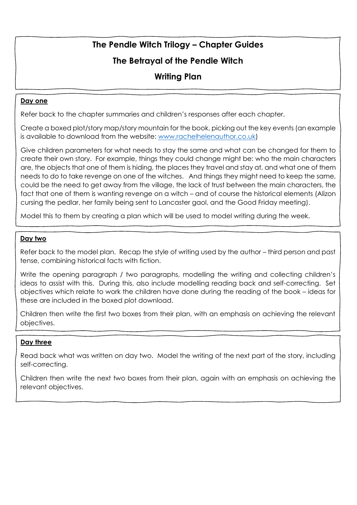## **The Betrayal of the Pendle Witch**

## **Writing Plan**

### **Day one**

Refer back to the chapter summaries and children's responses after each chapter.

Create a boxed plot/story map/story mountain for the book, picking out the key events (an example is available to download from the website: [www.rachelhelenauthor.co.uk\)](http://www.rachelhelenauthor.co.uk/)

Give children parameters for what needs to stay the same and what can be changed for them to create their own story. For example, things they could change might be: who the main characters are, the objects that one of them is hiding, the places they travel and stay at, and what one of them needs to do to take revenge on one of the witches. And things they might need to keep the same, could be the need to get away from the village, the lack of trust between the main characters, the fact that one of them is wanting revenge on a witch – and of course the historical elements (Alizon cursing the pedlar, her family being sent to Lancaster gaol, and the Good Friday meeting).

Model this to them by creating a plan which will be used to model writing during the week.

#### **Day two**

Refer back to the model plan. Recap the style of writing used by the author – third person and past tense, combining historical facts with fiction.

Write the opening paragraph / two paragraphs, modelling the writing and collecting children's ideas to assist with this. During this, also include modelling reading back and self-correcting. Set objectives which relate to work the children have done during the reading of the book – ideas for these are included in the boxed plot download.

Children then write the first two boxes from their plan, with an emphasis on achieving the relevant objectives.

### **Day three**

Read back what was written on day two. Model the writing of the next part of the story, including self-correcting.

Children then write the next two boxes from their plan, again with an emphasis on achieving the relevant objectives.